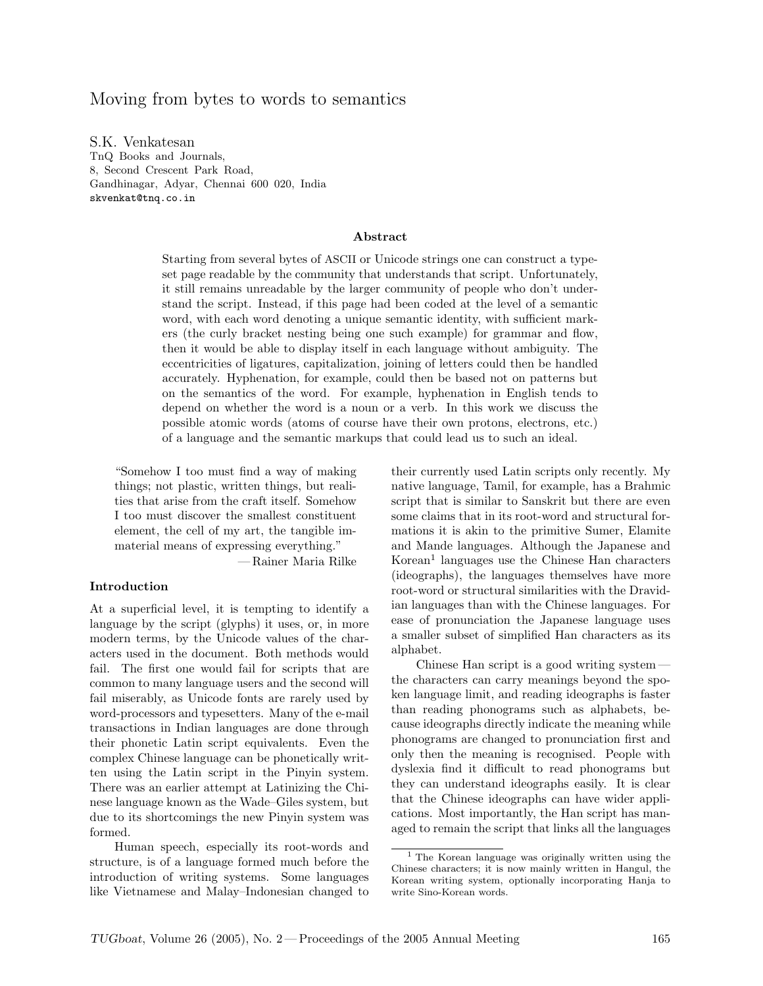# Moving from bytes to words to semantics

S.K. Venkatesan TnQ Books and Journals, 8, Second Crescent Park Road, Gandhinagar, Adyar, Chennai 600 020, India skvenkat@tnq.co.in

#### Abstract

Starting from several bytes of ASCII or Unicode strings one can construct a typeset page readable by the community that understands that script. Unfortunately, it still remains unreadable by the larger community of people who don't understand the script. Instead, if this page had been coded at the level of a semantic word, with each word denoting a unique semantic identity, with sufficient markers (the curly bracket nesting being one such example) for grammar and flow, then it would be able to display itself in each language without ambiguity. The eccentricities of ligatures, capitalization, joining of letters could then be handled accurately. Hyphenation, for example, could then be based not on patterns but on the semantics of the word. For example, hyphenation in English tends to depend on whether the word is a noun or a verb. In this work we discuss the possible atomic words (atoms of course have their own protons, electrons, etc.) of a language and the semantic markups that could lead us to such an ideal.

"Somehow I too must find a way of making things; not plastic, written things, but realities that arise from the craft itself. Somehow I too must discover the smallest constituent element, the cell of my art, the tangible immaterial means of expressing everything." — Rainer Maria Rilke

#### Introduction

At a superficial level, it is tempting to identify a language by the script (glyphs) it uses, or, in more modern terms, by the Unicode values of the characters used in the document. Both methods would fail. The first one would fail for scripts that are common to many language users and the second will fail miserably, as Unicode fonts are rarely used by word-processors and typesetters. Many of the e-mail transactions in Indian languages are done through their phonetic Latin script equivalents. Even the complex Chinese language can be phonetically written using the Latin script in the Pinyin system. There was an earlier attempt at Latinizing the Chinese language known as the Wade–Giles system, but due to its shortcomings the new Pinyin system was formed.

Human speech, especially its root-words and structure, is of a language formed much before the introduction of writing systems. Some languages like Vietnamese and Malay–Indonesian changed to their currently used Latin scripts only recently. My native language, Tamil, for example, has a Brahmic script that is similar to Sanskrit but there are even some claims that in its root-word and structural formations it is akin to the primitive Sumer, Elamite and Mande languages. Although the Japanese and Korean<sup>[1](#page-0-0)</sup> languages use the Chinese Han characters (ideographs), the languages themselves have more root-word or structural similarities with the Dravidian languages than with the Chinese languages. For ease of pronunciation the Japanese language uses a smaller subset of simplified Han characters as its alphabet.

Chinese Han script is a good writing system the characters can carry meanings beyond the spoken language limit, and reading ideographs is faster than reading phonograms such as alphabets, because ideographs directly indicate the meaning while phonograms are changed to pronunciation first and only then the meaning is recognised. People with dyslexia find it difficult to read phonograms but they can understand ideographs easily. It is clear that the Chinese ideographs can have wider applications. Most importantly, the Han script has managed to remain the script that links all the languages

<span id="page-0-0"></span><sup>1</sup> The Korean language was originally written using the Chinese characters; it is now mainly written in Hangul, the Korean writing system, optionally incorporating Hanja to write Sino-Korean words.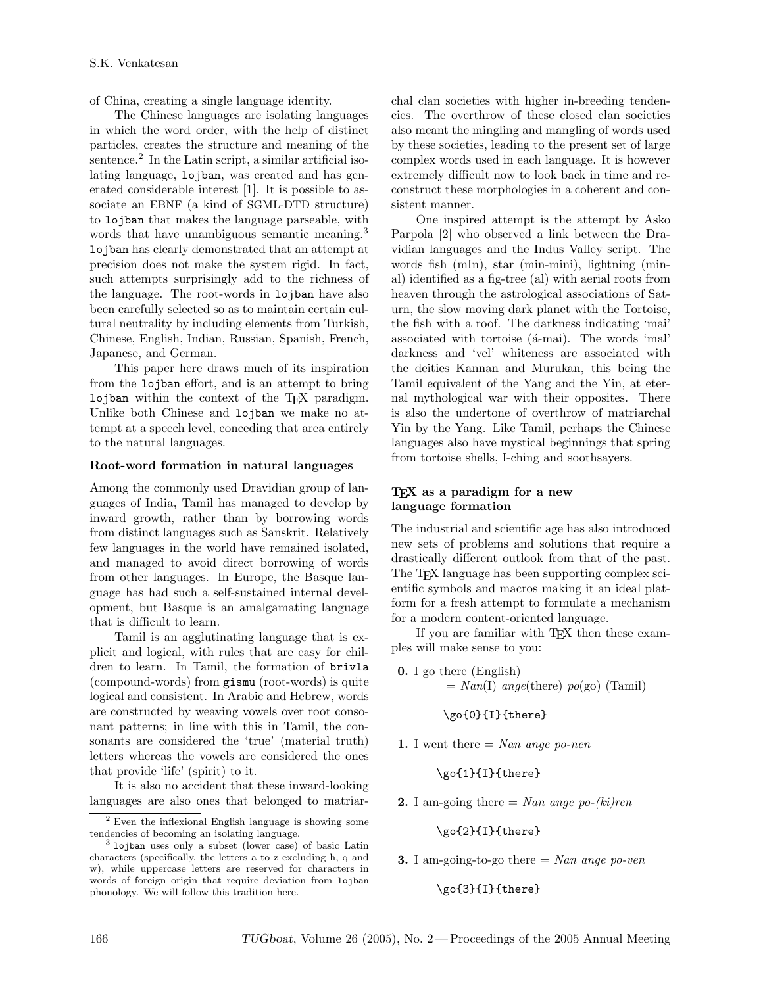of China, creating a single language identity.

The Chinese languages are isolating languages in which the word order, with the help of distinct particles, creates the structure and meaning of the sentence.<sup>[2](#page-1-0)</sup> In the Latin script, a similar artificial isolating language, lojban, was created and has generated considerable interest [1]. It is possible to associate an EBNF (a kind of SGML-DTD structure) to lojban that makes the language parseable, with words that have unambiguous semantic meaning.<sup>[3](#page-1-1)</sup> lojban has clearly demonstrated that an attempt at precision does not make the system rigid. In fact, such attempts surprisingly add to the richness of the language. The root-words in lojban have also been carefully selected so as to maintain certain cultural neutrality by including elements from Turkish, Chinese, English, Indian, Russian, Spanish, French, Japanese, and German.

This paper here draws much of its inspiration from the lojban effort, and is an attempt to bring lojban within the context of the TEX paradigm. Unlike both Chinese and lojban we make no attempt at a speech level, conceding that area entirely to the natural languages.

#### Root-word formation in natural languages

Among the commonly used Dravidian group of languages of India, Tamil has managed to develop by inward growth, rather than by borrowing words from distinct languages such as Sanskrit. Relatively few languages in the world have remained isolated, and managed to avoid direct borrowing of words from other languages. In Europe, the Basque language has had such a self-sustained internal development, but Basque is an amalgamating language that is difficult to learn.

Tamil is an agglutinating language that is explicit and logical, with rules that are easy for children to learn. In Tamil, the formation of brivla (compound-words) from gismu (root-words) is quite logical and consistent. In Arabic and Hebrew, words are constructed by weaving vowels over root consonant patterns; in line with this in Tamil, the consonants are considered the 'true' (material truth) letters whereas the vowels are considered the ones that provide 'life' (spirit) to it.

It is also no accident that these inward-looking languages are also ones that belonged to matriarchal clan societies with higher in-breeding tendencies. The overthrow of these closed clan societies also meant the mingling and mangling of words used by these societies, leading to the present set of large complex words used in each language. It is however extremely difficult now to look back in time and reconstruct these morphologies in a coherent and consistent manner.

One inspired attempt is the attempt by Asko Parpola [2] who observed a link between the Dravidian languages and the Indus Valley script. The words fish (mIn), star (min-mini), lightning (minal) identified as a fig-tree (al) with aerial roots from heaven through the astrological associations of Saturn, the slow moving dark planet with the Tortoise, the fish with a roof. The darkness indicating 'mai' associated with tortoise ( $\acute{a}$ -mai). The words 'mal' darkness and 'vel' whiteness are associated with the deities Kannan and Murukan, this being the Tamil equivalent of the Yang and the Yin, at eternal mythological war with their opposites. There is also the undertone of overthrow of matriarchal Yin by the Yang. Like Tamil, perhaps the Chinese languages also have mystical beginnings that spring from tortoise shells, I-ching and soothsayers.

### T<sub>E</sub>X as a paradigm for a new language formation

The industrial and scientific age has also introduced new sets of problems and solutions that require a drastically different outlook from that of the past. The T<sub>EX</sub> language has been supporting complex scientific symbols and macros making it an ideal platform for a fresh attempt to formulate a mechanism for a modern content-oriented language.

If you are familiar with TEX then these examples will make sense to you:

0. I go there (English)  $= Nan(1) \text{ angle}(\text{there}) \text{ po}(\text{go})$  (Tamil)

\go{0}{I}{there}

1. I went there  $=$  Nan ange po-nen

\go{1}{I}{there}

**2.** I am-going there  $=$  Nan ange po-(ki)ren

### \go{2}{I}{there}

**3.** I am-going-to-go there  $=$  Nan ange po-ven

\go{3}{I}{there}

<span id="page-1-0"></span><sup>2</sup> Even the inflexional English language is showing some tendencies of becoming an isolating language.

<span id="page-1-1"></span><sup>&</sup>lt;sup>3</sup> lojban uses only a subset (lower case) of basic Latin characters (specifically, the letters a to z excluding h, q and w), while uppercase letters are reserved for characters in words of foreign origin that require deviation from lojban phonology. We will follow this tradition here.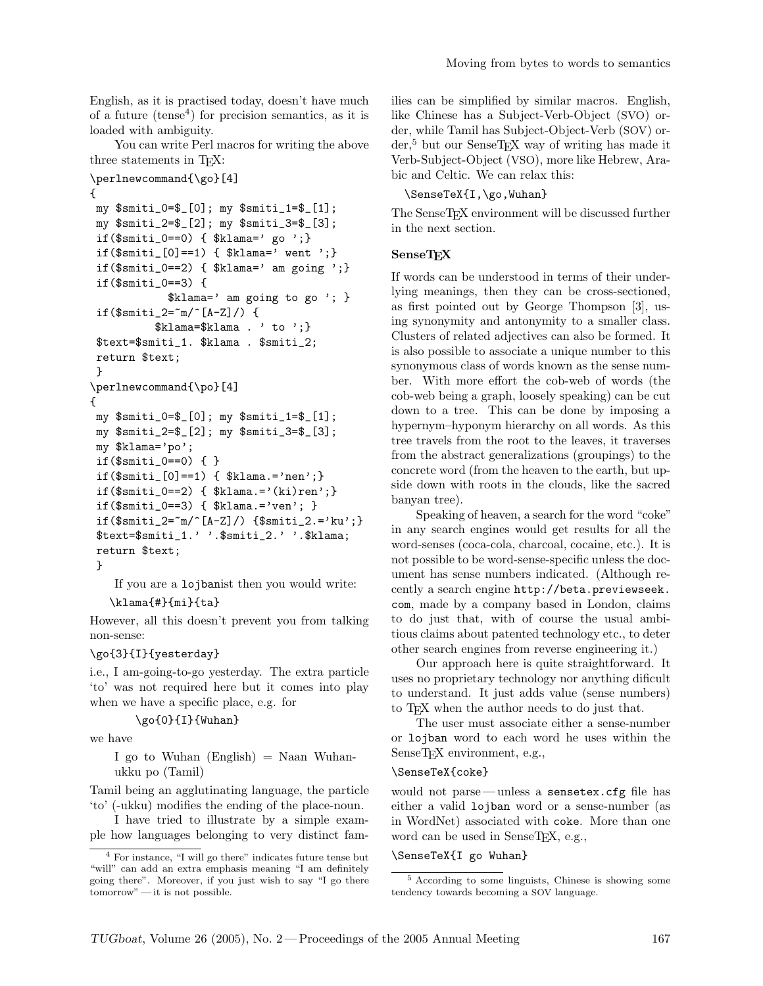English, as it is practised today, doesn't have much of a future  $(\text{tense}^4)$  $(\text{tense}^4)$  $(\text{tense}^4)$  for precision semantics, as it is loaded with ambiguity.

You can write Perl macros for writing the above three statements in TEX:

```
\perlnewcommand{\go}[4]
{
my $smiti_0=$_[0]; my $smiti_1=$_[1];
my $smiti_2=$_[2]; my $smiti_3=$_[3];
 if(\text{\$smiti_0 == 0) } { \text{\$klama='} go '; }
 if(\text{\$smiti}[\text{0}]=1) { \text{\$klama='} went '; }
 if($smiti_0 == 2) { $klama = ' am going '; }if($smiti_0==3) {
             $klama=' am going to go '; }
 if($smiti_2=~m/^[A-Z]/) {
           $klama=$klama . ' to ';}
 $text=$smiti_1. $klama . $smiti_2;
return $text;
}
\perlnewcommand{\po}[4]
{
my $smiti_0=$_[0]; my $smiti_1=$_[1];
my $smiti_2=$_[2]; my $smiti_3=$_[3];
my $klama='po';
 if($smiti_0==0) { }
 if(\text{\$smiti}[\text{0} == 1) { \text{\$klama} == 'nen';if(\text{\$smiti_0 == 2)} \{ \if(\text{\$smiti_0 == 3$} { \text{\$klama.} = \text{'ven'}; }
 if($smiti_2=\text{m}/\text{A-Z}]/) {$smiti_2.='ku';}
 $text=$smiti_1.' '.$smiti_2.' '.$klama;
return $text;
 }
```
If you are a lojbanist then you would write: \klama{#}{mi}{ta}

However, all this doesn't prevent you from talking non-sense:

#### \go{3}{I}{yesterday}

i.e., I am-going-to-go yesterday. The extra particle 'to' was not required here but it comes into play when we have a specific place, e.g. for

## \go{0}{I}{Wuhan}

we have

I go to Wuhan  $(English) = Naan$  Wuhanukku po (Tamil)

Tamil being an agglutinating language, the particle 'to' (-ukku) modifies the ending of the place-noun.

I have tried to illustrate by a simple example how languages belonging to very distinct families can be simplified by similar macros. English, like Chinese has a Subject-Verb-Object (SVO) order, while Tamil has Subject-Object-Verb (SOV) order,[5](#page-2-1) but our SenseTEX way of writing has made it Verb-Subject-Object (VSO), more like Hebrew, Arabic and Celtic. We can relax this:

#### \SenseTeX{I,\go,Wuhan}

The SenseTEX environment will be discussed further in the next section.

#### **SenseTEX**

If words can be understood in terms of their underlying meanings, then they can be cross-sectioned, as first pointed out by George Thompson [3], using synonymity and antonymity to a smaller class. Clusters of related adjectives can also be formed. It is also possible to associate a unique number to this synonymous class of words known as the sense number. With more effort the cob-web of words (the cob-web being a graph, loosely speaking) can be cut down to a tree. This can be done by imposing a hypernym–hyponym hierarchy on all words. As this tree travels from the root to the leaves, it traverses from the abstract generalizations (groupings) to the concrete word (from the heaven to the earth, but upside down with roots in the clouds, like the sacred banyan tree).

Speaking of heaven, a search for the word "coke" in any search engines would get results for all the word-senses (coca-cola, charcoal, cocaine, etc.). It is not possible to be word-sense-specific unless the document has sense numbers indicated. (Although recently a search engine [http://beta.previewseek.](http://beta.previewseek.com) [com](http://beta.previewseek.com), made by a company based in London, claims to do just that, with of course the usual ambitious claims about patented technology etc., to deter other search engines from reverse engineering it.)

Our approach here is quite straightforward. It uses no proprietary technology nor anything dificult to understand. It just adds value (sense numbers) to TEX when the author needs to do just that.

The user must associate either a sense-number or lojban word to each word he uses within the SenseTEX environment, e.g.,

### \SenseTeX{coke}

would not parse — unless a sensetex.cfg file has either a valid lojban word or a sense-number (as in WordNet) associated with coke. More than one word can be used in SenseTEX, e.g.,

#### \SenseTeX{I go Wuhan}

<span id="page-2-0"></span><sup>4</sup> For instance, "I will go there" indicates future tense but "will" can add an extra emphasis meaning "I am definitely going there". Moreover, if you just wish to say "I go there tomorrow" — it is not possible.

<span id="page-2-1"></span><sup>5</sup> According to some linguists, Chinese is showing some tendency towards becoming a SOV language.